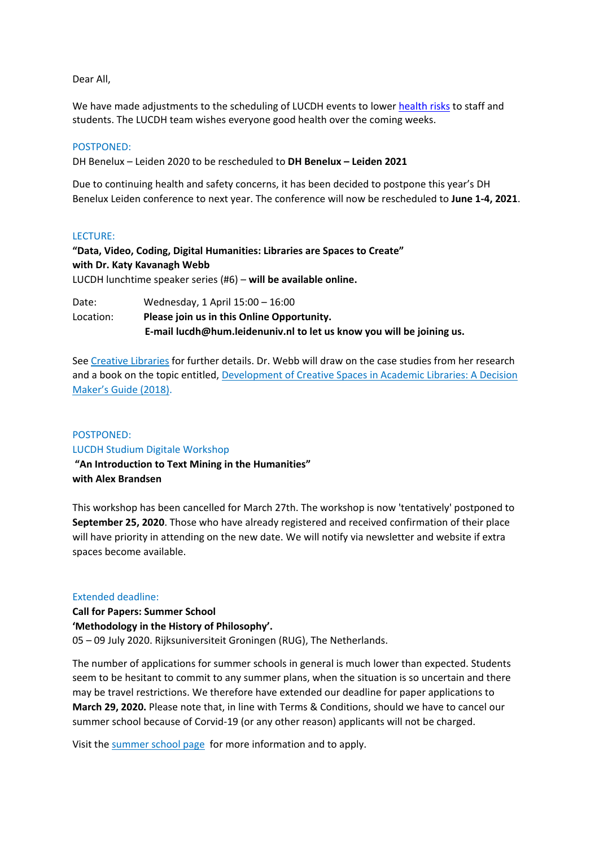Dear All,

We have made adjustments to the scheduling of LUCDH events to lowe[r health risks](https://www.universiteitleiden.nl/en/dossiers/coronavirus-en/updates-en) to staff and students. The LUCDH team wishes everyone good health over the coming weeks.

## POSTPONED:

DH Benelux – Leiden 2020 to be rescheduled to **DH Benelux – Leiden 2021**

Due to continuing health and safety concerns, it has been decided to postpone this year's DH Benelux Leiden conference to next year. The conference will now be rescheduled to **June 1-4, 2021**.

## LECTURE:

**"Data, Video, Coding, Digital Humanities: Libraries are Spaces to Create" with Dr. Katy Kavanagh Webb** LUCDH lunchtime speaker series (#6) – **will be available online.**

Date: Wednesday, 1 April 15:00 – 16:00 Location: **Please join us in this Online Opportunity. E-mail [lucdh@hum.leidenuniv.nl](mailto:lucdh@hum.leidenuniv.nl) to let us know you will be joining us.**

See [Creative Libraries](https://www.universiteitleiden.nl/en/events/2020/04/lucdh-lunchtime-speaker-series-2020-6) for further details. Dr. Webb will draw on the case studies from her research and a book on the topic entitled, [Development of Creative Spaces in Academic Libraries: A Decision](https://catalogue.leidenuniv.nl/primo-explore/fulldisplay?docid=TN_pq_ebook_centralEBC5313191&vid=UBL_V1&lang=en_US&context=PC)  [Maker's Guide \(2018\)](https://catalogue.leidenuniv.nl/primo-explore/fulldisplay?docid=TN_pq_ebook_centralEBC5313191&vid=UBL_V1&lang=en_US&context=PC).

## POSTPONED:

LUCDH Studium Digitale Workshop

**"An Introduction to Text Mining in the Humanities" with Alex Brandsen** 

This workshop has been cancelled for March 27th. The workshop is now 'tentatively' postponed to **September 25, 2020**. Those who have already registered and received confirmation of their place will have priority in attending on the new date. We will notify via newsletter and website if extra spaces become available.

## Extended deadline:

**Call for Papers: Summer School 'Methodology in the History of Philosophy'.** 05 – 09 July 2020. Rijksuniversiteit Groningen (RUG), The Netherlands.

The number of applications for summer schools in general is much lower than expected. Students seem to be hesitant to commit to any summer plans, when the situation is so uncertain and there may be travel restrictions. We therefore have extended our deadline for paper applications to **March 29, 2020.** Please note that, in line with [Terms & Conditions,](https://www.rug.nl/education/summer-winter-schools/practical-information/terms-and-conditions) should we have to cancel our summer school because of Corvid-19 (or any other reason) applicants will not be charged.

Visit the [summer school page](https://www.rug.nl/education/summer-winter-schools/methodology-in-the-history-of-philosophy/) for more information and to apply.